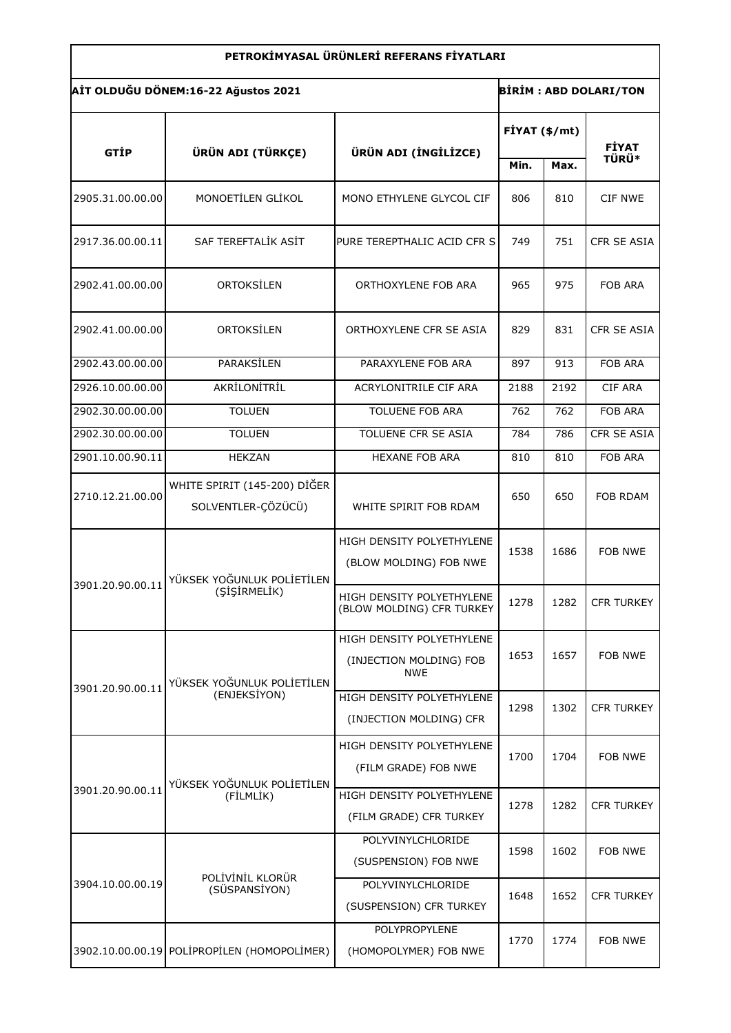| PETROKİMYASAL ÜRÜNLERİ REFERANS FİYATLARI                           |                     |                             |               |      |                    |  |  |  |
|---------------------------------------------------------------------|---------------------|-----------------------------|---------------|------|--------------------|--|--|--|
| AİT OLDUĞU DÖNEM:16-22 Ağustos 2021<br><b>BİRİM: ABD DOLARI/TON</b> |                     |                             |               |      |                    |  |  |  |
| GTİP                                                                | ÜRÜN ADI (TÜRKÇE)   | ÜRÜN ADI (İNGİLİZCE)        | FİYAT (\$/mt) |      | <b>FİYAT</b>       |  |  |  |
|                                                                     |                     |                             | Min.          | Max. | <b>TÜRÜ*</b>       |  |  |  |
| 2905.31.00.00.00                                                    | MONOETİLEN GLİKOL   | MONO ETHYLENE GLYCOL CIF    | 806           | 810  | CIF NWE            |  |  |  |
| 2917.36.00.00.11                                                    | SAF TEREFTALİK ASİT | PURE TEREPTHALIC ACID CFR S | 749           | 751  | <b>CFR SE ASIA</b> |  |  |  |
| 2902.41.00.00.00                                                    | ORTOKSİLEN          | ORTHOXYLENE FOB ARA         | 965           | 975  | <b>FOB ARA</b>     |  |  |  |
| 2902.41.00.00.00                                                    | ORTOKSİLEN          | ORTHOXYLENE CFR SE ASIA     | 829           | 831  | CFR SE ASIA        |  |  |  |
| 2902.43.00.00.00                                                    | PARAKSİLEN          | PARAXYLENE FOB ARA          | 897           | 913  | <b>FOB ARA</b>     |  |  |  |
| 2926.10.00.00.00                                                    | AKRİLONİTRİL        | ACRYLONITRILE CIF ARA       | 2188          | 2192 | <b>CIF ARA</b>     |  |  |  |
| 2902.30.00.00.00                                                    | <b>TOLUEN</b>       | <b>TOLUENE FOB ARA</b>      | 762           | 762  | <b>FOB ARA</b>     |  |  |  |
| 2902.30.00.00.00                                                    | <b>TOLUEN</b>       | <b>TOLUENE CFR SE ASIA</b>  | 784           | 786  | CFR SE ASIA        |  |  |  |
| 2901.10.00.90.11                                                    | <b>HEKZAN</b>       | <b>HEXANE FOB ARA</b>       | 810           | 810  | <b>FOB ARA</b>     |  |  |  |
|                                                                     |                     |                             |               |      |                    |  |  |  |

| 2926.10.00.00.00 | AKRİLONİTRİL                                       | ACRYLONITRILE CIF ARA                                              | 2188 | 2192 | <b>CIF ARA</b>    |
|------------------|----------------------------------------------------|--------------------------------------------------------------------|------|------|-------------------|
| 2902.30.00.00.00 | <b>TOLUEN</b>                                      | <b>TOLUENE FOB ARA</b>                                             | 762  | 762  | <b>FOB ARA</b>    |
| 2902.30.00.00.00 | <b>TOLUEN</b>                                      | TOLUENE CFR SE ASIA                                                | 784  | 786  | CFR SE ASIA       |
| 2901.10.00.90.11 | <b>HEKZAN</b>                                      | <b>HEXANE FOB ARA</b>                                              | 810  | 810  | <b>FOB ARA</b>    |
| 2710.12.21.00.00 | WHITE SPIRIT (145-200) DİĞER<br>SOLVENTLER-ÇÖZÜCÜ) | WHITE SPIRIT FOB RDAM                                              | 650  | 650  | FOB RDAM          |
| 3901.20.90.00.11 | YÜKSEK YOĞUNLUK POLİETİLEN<br>(SİŞİRMELİK)         | HIGH DENSITY POLYETHYLENE<br>(BLOW MOLDING) FOB NWE                | 1538 | 1686 | FOB NWE           |
|                  |                                                    | HIGH DENSITY POLYETHYLENE<br>(BLOW MOLDING) CFR TURKEY             | 1278 | 1282 | <b>CFR TURKEY</b> |
| 3901.20.90.00.11 | YÜKSEK YOĞUNLUK POLİETİLEN<br>(ENJEKSİYON)         | HIGH DENSITY POLYETHYLENE<br>(INJECTION MOLDING) FOB<br><b>NWE</b> | 1653 | 1657 | <b>FOB NWE</b>    |
|                  |                                                    | HIGH DENSITY POLYETHYLENE<br>(INJECTION MOLDING) CFR               | 1298 | 1302 | <b>CFR TURKEY</b> |
| 3901.20.90.00.11 | YÜKSEK YOĞUNLUK POLİETİLEN<br>(FİLMLİK)            | HIGH DENSITY POLYETHYLENE<br>(FILM GRADE) FOB NWE                  | 1700 | 1704 | FOB NWE           |
|                  |                                                    | HIGH DENSITY POLYETHYLENE<br>(FILM GRADE) CFR TURKEY               | 1278 | 1282 | <b>CFR TURKEY</b> |
| 3904.10.00.00.19 | POLİVİNİL KLORÜR<br>(SÜSPANSİYON)                  | POLYVINYLCHLORIDE<br>(SUSPENSION) FOB NWE                          | 1598 | 1602 | FOB NWE           |
|                  |                                                    | POLYVINYLCHLORIDE<br>(SUSPENSION) CFR TURKEY                       | 1648 | 1652 | <b>CFR TURKEY</b> |
|                  | 3902.10.00.00.19 POLIPROPILEN (HOMOPOLIMER)        | POLYPROPYLENE<br>(HOMOPOLYMER) FOB NWE                             | 1770 | 1774 | <b>FOB NWE</b>    |